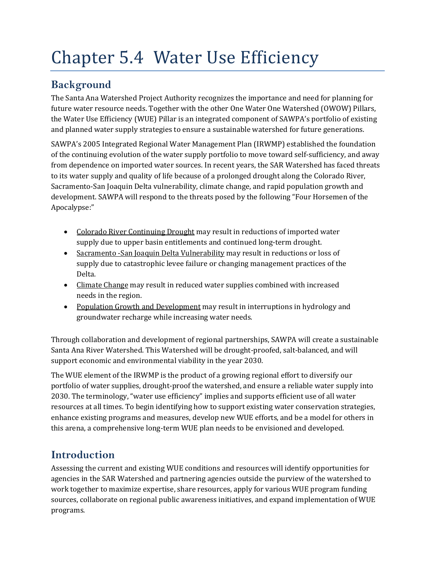# Chapter 5.4 Water Use Efficiency

# **Background**

The Santa Ana Watershed Project Authority recognizes the importance and need for planning for future water resource needs. Together with the other One Water One Watershed (OWOW) Pillars, the Water Use Efficiency (WUE) Pillar is an integrated component of SAWPA's portfolio of existing and planned water supply strategies to ensure a sustainable watershed for future generations.

SAWPA's 2005 Integrated Regional Water Management Plan (IRWMP) established the foundation of the continuing evolution of the water supply portfolio to move toward self‐sufficiency, and away from dependence on imported water sources. In recent years, the SAR Watershed has faced threats to its water supply and quality of life because of a prolonged drought along the Colorado River, Sacramento‐San Joaquin Delta vulnerability, climate change, and rapid population growth and development. SAWPA will respond to the threats posed by the following "Four Horsemen of the Apocalypse:"

- Colorado River Continuing Drought may result in reductions of imported water supply due to upper basin entitlements and continued long-term drought.
- Sacramento -San Joaquin Delta Vulnerability may result in reductions or loss of supply due to catastrophic levee failure or changing management practices of the Delta.
- Climate Change may result in reduced water supplies combined with increased needs in the region.
- Population Growth and Development may result in interruptions in hydrology and groundwater recharge while increasing water needs.

Through collaboration and development of regional partnerships, SAWPA will create a sustainable Santa Ana River Watershed. This Watershed will be drought‐proofed, salt‐balanced, and will support economic and environmental viability in the year 2030.

The WUE element of the IRWMP is the product of a growing regional effort to diversify our portfolio of water supplies, drought‐proof the watershed, and ensure a reliable water supply into 2030. The terminology, "water use efficiency" implies and supports efficient use of all water resources at all times. To begin identifying how to support existing water conservation strategies, enhance existing programs and measures, develop new WUE efforts, and be a model for others in this arena, a comprehensive long‐term WUE plan needs to be envisioned and developed.

# **Introduction**

Assessing the current and existing WUE conditions and resources will identify opportunities for agencies in the SAR Watershed and partnering agencies outside the purview of the watershed to work together to maximize expertise, share resources, apply for various WUE program funding sources, collaborate on regional public awareness initiatives, and expand implementation of WUE programs.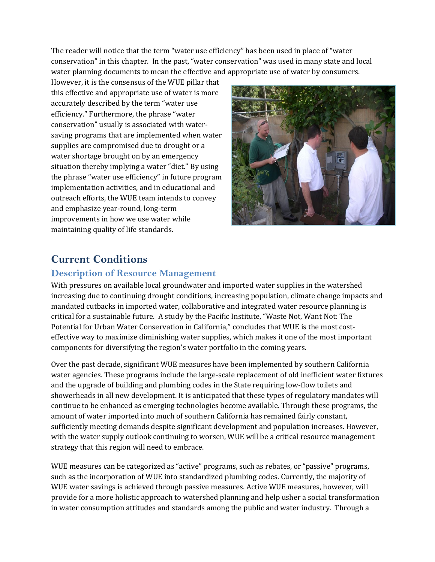The reader will notice that the term "water use efficiency" has been used in place of "water conservation" in this chapter. In the past, "water conservation" was used in many state and local water planning documents to mean the effective and appropriate use of water by consumers.

However, it is the consensus of the WUE pillar that this effective and appropriate use of water is more accurately described by the term "water use efficiency." Furthermore, the phrase "water conservation" usually is associated with water‐ saving programs that are implemented when water supplies are compromised due to drought or a water shortage brought on by an emergency situation thereby implying a water "diet." By using the phrase "water use efficiency" in future program implementation activities, and in educational and outreach efforts, the WUE team intends to convey and emphasize year‐round, long‐term improvements in how we use water while maintaining quality of life standards.



# **Current Conditions**

## **Description of Resource Management**

With pressures on available local groundwater and imported water supplies in the watershed increasing due to continuing drought conditions, increasing population, climate change impacts and mandated cutbacks in imported water, collaborative and integrated water resource planning is critical for a sustainable future. A study by the Pacific Institute, "Waste Not, Want Not: The Potential for Urban Water Conservation in California," concludes that WUE is the most cost‐ effective way to maximize diminishing water supplies, which makes it one of the most important components for diversifying the region's water portfolio in the coming years.

Over the past decade, significant WUE measures have been implemented by southern California water agencies. These programs include the large-scale replacement of old inefficient water fixtures and the upgrade of building and plumbing codes in the State requiring low‐flow toilets and showerheads in all new development. It is anticipated that these types of regulatory mandates will continue to be enhanced as emerging technologies become available. Through these programs, the amount of water imported into much of southern California has remained fairly constant, sufficiently meeting demands despite significant development and population increases. However, with the water supply outlook continuing to worsen, WUE will be a critical resource management strategy that this region will need to embrace.

WUE measures can be categorized as "active" programs, such as rebates, or "passive" programs, such as the incorporation of WUE into standardized plumbing codes. Currently, the majority of WUE water savings is achieved through passive measures. Active WUE measures, however, will provide for a more holistic approach to watershed planning and help usher a social transformation in water consumption attitudes and standards among the public and water industry. Through a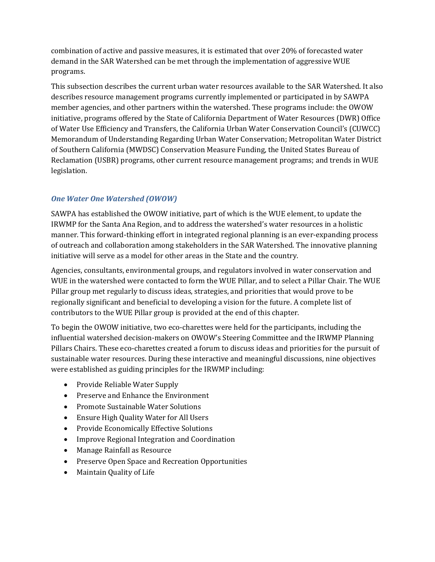combination of active and passive measures, it is estimated that over 20% of forecasted water demand in the SAR Watershed can be met through the implementation of aggressive WUE programs.

This subsection describes the current urban water resources available to the SAR Watershed. It also describes resource management programs currently implemented or participated in by SAWPA member agencies, and other partners within the watershed. These programs include: the OWOW initiative, programs offered by the State of California Department of Water Resources (DWR) Office of Water Use Efficiency and Transfers, the California Urban Water Conservation Council's (CUWCC) Memorandum of Understanding Regarding Urban Water Conservation; Metropolitan Water District of Southern California (MWDSC) Conservation Measure Funding, the United States Bureau of Reclamation (USBR) programs, other current resource management programs; and trends in WUE legislation.

#### *One Water One Watershed (OWOW)*

SAWPA has established the OWOW initiative, part of which is the WUE element, to update the IRWMP for the Santa Ana Region, and to address the watershed's water resources in a holistic manner. This forward-thinking effort in integrated regional planning is an ever-expanding process of outreach and collaboration among stakeholders in the SAR Watershed. The innovative planning initiative will serve as a model for other areas in the State and the country.

Agencies, consultants, environmental groups, and regulators involved in water conservation and WUE in the watershed were contacted to form the WUE Pillar, and to select a Pillar Chair. The WUE Pillar group met regularly to discuss ideas, strategies, and priorities that would prove to be regionally significant and beneficial to developing a vision for the future. A complete list of contributors to the WUE Pillar group is provided at the end of this chapter.

To begin the OWOW initiative, two eco-charettes were held for the participants, including the influential watershed decision‐makers on OWOW's Steering Committee and the IRWMP Planning Pillars Chairs. These eco-charettes created a forum to discuss ideas and priorities for the pursuit of sustainable water resources. During these interactive and meaningful discussions, nine objectives were established as guiding principles for the IRWMP including:

- Provide Reliable Water Supply
- Preserve and Enhance the Environment
- Promote Sustainable Water Solutions
- Ensure High Quality Water for All Users
- Provide Economically Effective Solutions
- Improve Regional Integration and Coordination
- Manage Rainfall as Resource
- Preserve Open Space and Recreation Opportunities
- Maintain Quality of Life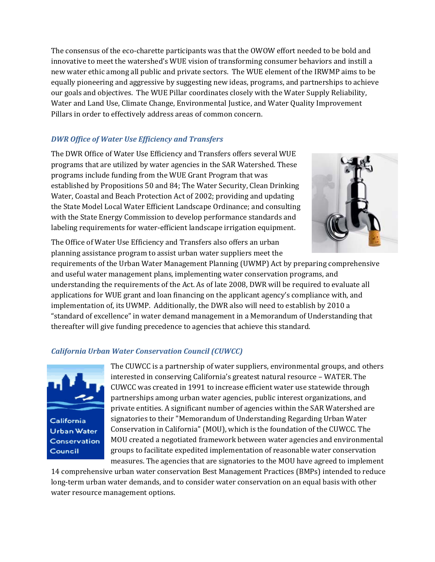The consensus of the eco-charette participants was that the OWOW effort needed to be bold and innovative to meet the watershed's WUE vision of transforming consumer behaviors and instill a new water ethic among all public and private sectors. The WUE element of the IRWMP aims to be equally pioneering and aggressive by suggesting new ideas, programs, and partnerships to achieve our goals and objectives. The WUE Pillar coordinates closely with the Water Supply Reliability, Water and Land Use, Climate Change, Environmental Justice, and Water Quality Improvement Pillars in order to effectively address areas of common concern.

#### *DWR Office of Water Use Efficiency and Transfers*

The DWR Office of Water Use Efficiency and Transfers offers several WUE programs that are utilized by water agencies in the SAR Watershed. These programs include funding from the WUE Grant Program that was established by Propositions 50 and 84; The Water Security, Clean Drinking Water, Coastal and Beach Protection Act of 2002; providing and updating the State Model Local Water Efficient Landscape Ordinance; and consulting with the State Energy Commission to develop performance standards and labeling requirements for water‐efficient landscape irrigation equipment.



The Office of Water Use Efficiency and Transfers also offers an urban planning assistance program to assist urban water suppliers meet the

requirements of the Urban Water Management Planning (UWMP) Act by preparing comprehensive and useful water management plans, implementing water conservation programs, and understanding the requirements of the Act. As of late 2008, DWR will be required to evaluate all applications for WUE grant and loan financing on the applicant agency's compliance with, and implementation of, its UWMP. Additionally, the DWR also will need to establish by 2010 a "standard of excellence" in water demand management in a Memorandum of Understanding that thereafter will give funding precedence to agencies that achieve this standard.

#### *California Urban Water Conservation Council (CUWCC)*



California Urban Water Conservation Council

The CUWCC is a partnership of water suppliers, environmental groups, and others interested in conserving California's greatest natural resource – WATER. The CUWCC was created in 1991 to increase efficient water use statewide through partnerships among urban water agencies, public interest organizations, and private entities. A significant number of agencies within the SAR Watershed are signatories to their "Memorandum of Understanding Regarding Urban Water Conservation in California" (MOU), which is the foundation of the CUWCC. The MOU created a negotiated framework between water agencies and environmental groups to facilitate expedited implementation of reasonable water conservation measures. The agencies that are signatories to the MOU have agreed to implement

14 comprehensive urban water conservation Best Management Practices (BMPs) intended to reduce long-term urban water demands, and to consider water conservation on an equal basis with other water resource management options.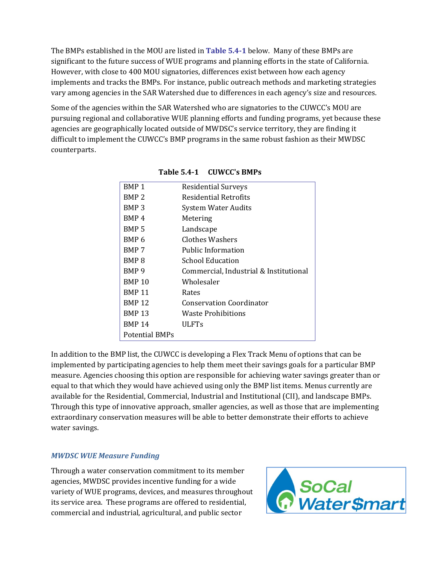The BMPs established in the MOU are listed in **Table 5.41** below. Many of these BMPs are significant to the future success of WUE programs and planning efforts in the state of California. However, with close to 400 MOU signatories, differences exist between how each agency implements and tracks the BMPs. For instance, public outreach methods and marketing strategies vary among agencies in the SAR Watershed due to differences in each agency's size and resources.

Some of the agencies within the SAR Watershed who are signatories to the CUWCC's MOU are pursuing regional and collaborative WUE planning efforts and funding programs, yet because these agencies are geographically located outside of MWDSC's service territory, they are finding it difficult to implement the CUWCC's BMP programs in the same robust fashion as their MWDSC counterparts.

| BMP <sub>1</sub>      | <b>Residential Surveys</b>             |
|-----------------------|----------------------------------------|
| BMP <sub>2</sub>      | Residential Retrofits                  |
| BMP <sub>3</sub>      | <b>System Water Audits</b>             |
| BMP <sub>4</sub>      | Metering                               |
| BMP <sub>5</sub>      | Landscape                              |
| BMP <sub>6</sub>      | Clothes Washers                        |
| BMP <sub>7</sub>      | <b>Public Information</b>              |
| BMP <sub>8</sub>      | School Education                       |
| BMP 9                 | Commercial, Industrial & Institutional |
| <b>BMP 10</b>         | Wholesaler                             |
| <b>BMP 11</b>         | Rates                                  |
| <b>BMP12</b>          | <b>Conservation Coordinator</b>        |
| <b>BMP 13</b>         | Waste Prohibitions                     |
| <b>BMP 14</b>         | <b>ULFTs</b>                           |
| <b>Potential BMPs</b> |                                        |
|                       |                                        |

 **Table 5.41 CUWCC's BMPs**

In addition to the BMP list, the CUWCC is developing a Flex Track Menu of options that can be implemented by participating agencies to help them meet their savings goals for a particular BMP measure. Agencies choosing this option are responsible for achieving water savings greater than or equal to that which they would have achieved using only the BMP list items. Menus currently are available for the Residential, Commercial, Industrial and Institutional (CII), and landscape BMPs. Through this type of innovative approach, smaller agencies, as well as those that are implementing extraordinary conservation measures will be able to better demonstrate their efforts to achieve water savings.

#### *MWDSC WUE Measure Funding*

Through a water conservation commitment to its member agencies, MWDSC provides incentive funding for a wide variety of WUE programs, devices, and measures throughout its service area. These programs are offered to residential, commercial and industrial, agricultural, and public sector

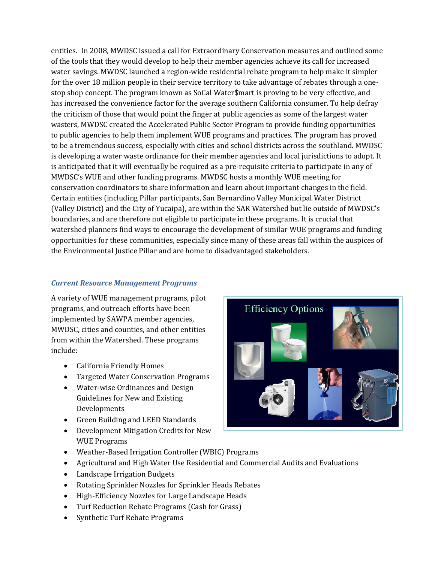entities. In 2008, MWDSC issued a call for Extraordinary Conservation measures and outlined some of the tools that they would develop to help their member agencies achieve its call for increased water savings. MWDSC launched a region-wide residential rebate program to help make it simpler for the over 18 million people in their service territory to take advantage of rebates through a onestop shop concept. The program known as SoCal Water\$mart is proving to be very effective, and has increased the convenience factor for the average southern California consumer. To help defray the criticism of those that would point the finger at public agencies as some of the largest water wasters, MWDSC created the Accelerated Public Sector Program to provide funding opportunities to public agencies to help them implement WUE programs and practices. The program has proved to be a tremendous success, especially with cities and school districts across the southland. MWDSC is developing a water waste ordinance for their member agencies and local jurisdictions to adopt. It is anticipated that it will eventually be required as a pre‐requisite criteria to participate in any of MWDSC's WUE and other funding programs. MWDSC hosts a monthly WUE meeting for conservation coordinators to share information and learn about important changes in the field. Certain entities (including Pillar participants, San Bernardino Valley Municipal Water District (Valley District) and the City of Yucaipa), are within the SAR Watershed but lie outside of MWDSC's boundaries, and are therefore not eligible to participate in these programs. It is crucial that watershed planners find ways to encourage the development of similar WUE programs and funding opportunities for these communities, especially since many of these areas fall within the auspices of the Environmental Justice Pillar and are home to disadvantaged stakeholders.

#### *Current Resource Management Programs*

A variety of WUE management programs, pilot programs, and outreach efforts have been implemented by SAWPA member agencies, MWDSC, cities and counties, and other entities from within the Watershed. These programs include:

- California Friendly Homes
- Targeted Water Conservation Programs
- Water-wise Ordinances and Design Guidelines for New and Existing Developments
- Green Building and LEED Standards
- Development Mitigation Credits for New WUE Programs
- Weather-Based Irrigation Controller (WBIC) Programs
- Agricultural and High Water Use Residential and Commercial Audits and Evaluations
- Landscape Irrigation Budgets
- Rotating Sprinkler Nozzles for Sprinkler Heads Rebates
- High-Efficiency Nozzles for Large Landscape Heads
- Turf Reduction Rebate Programs (Cash for Grass)
- Synthetic Turf Rebate Programs

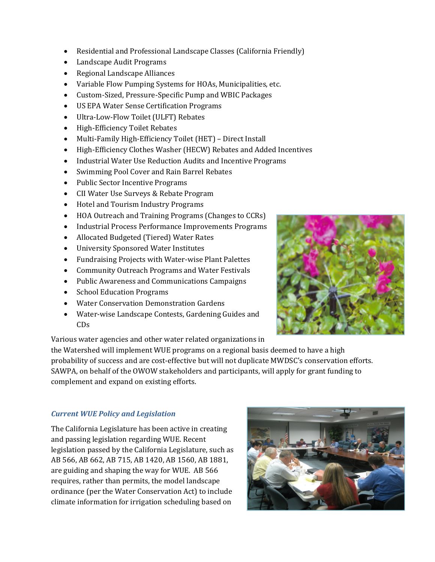- Residential and Professional Landscape Classes (California Friendly)
- Landscape Audit Programs
- Regional Landscape Alliances
- Variable Flow Pumping Systems for HOAs, Municipalities, etc.
- Custom‐Sized, Pressure‐Specific Pump and WBIC Packages
- US EPA Water Sense Certification Programs
- Ultra-Low-Flow Toilet (ULFT) Rebates
- High-Efficiency Toilet Rebates
- Multi-Family High-Efficiency Toilet (HET) Direct Install
- High-Efficiency Clothes Washer (HECW) Rebates and Added Incentives
- Industrial Water Use Reduction Audits and Incentive Programs
- Swimming Pool Cover and Rain Barrel Rebates
- Public Sector Incentive Programs
- CII Water Use Surveys & Rebate Program
- Hotel and Tourism Industry Programs
- HOA Outreach and Training Programs (Changes to CCRs)
- Industrial Process Performance Improvements Programs
- Allocated Budgeted (Tiered) Water Rates
- University Sponsored Water Institutes
- Fundraising Projects with Water‐wise Plant Palettes
- Community Outreach Programs and Water Festivals
- Public Awareness and Communications Campaigns
- School Education Programs
- Water Conservation Demonstration Gardens
- Water‐wise Landscape Contests, Gardening Guides and CDs

Various water agencies and other water related organizations in

the Watershed will implement WUE programs on a regional basis deemed to have a high probability of success and are cost‐effective but will not duplicate MWDSC's conservation efforts. SAWPA, on behalf of the OWOW stakeholders and participants, will apply for grant funding to complement and expand on existing efforts.

#### *Current WUE Policy and Legislation*

The California Legislature has been active in creating and passing legislation regarding WUE. Recent legislation passed by the California Legislature, such as AB 566, AB 662, AB 715, AB 1420, AB 1560, AB 1881, are guiding and shaping the way for WUE. AB 566 requires, rather than permits, the model landscape ordinance (per the Water Conservation Act) to include climate information for irrigation scheduling based on



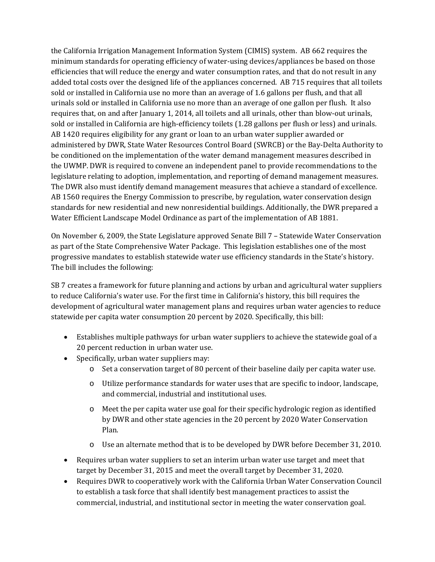the California Irrigation Management Information System (CIMIS) system. AB 662 requires the minimum standards for operating efficiency of water-using devices/appliances be based on those efficiencies that will reduce the energy and water consumption rates, and that do not result in any added total costs over the designed life of the appliances concerned. AB 715 requires that all toilets sold or installed in California use no more than an average of 1.6 gallons per flush, and that all urinals sold or installed in California use no more than an average of one gallon per flush. It also requires that, on and after January 1, 2014, all toilets and all urinals, other than blow‐out urinals, sold or installed in California are high-efficiency toilets (1.28 gallons per flush or less) and urinals. AB 1420 requires eligibility for any grant or loan to an urban water supplier awarded or administered by DWR, State Water Resources Control Board (SWRCB) or the Bay‐Delta Authority to be conditioned on the implementation of the water demand management measures described in the UWMP. DWR is required to convene an independent panel to provide recommendations to the legislature relating to adoption, implementation, and reporting of demand management measures. The DWR also must identify demand management measures that achieve a standard of excellence. AB 1560 requires the Energy Commission to prescribe, by regulation, water conservation design standards for new residential and new nonresidential buildings. Additionally, the DWR prepared a Water Efficient Landscape Model Ordinance as part of the implementation of AB 1881.

On November 6, 2009, the State Legislature approved Senate Bill 7 – Statewide Water Conservation as part of the State Comprehensive Water Package. This legislation establishes one of the most progressive mandates to establish statewide water use efficiency standards in the State's history. The bill includes the following:

SB 7 creates a framework for future planning and actions by urban and agricultural water suppliers to reduce California's water use. For the first time in California's history, this bill requires the development of agricultural water management plans and requires urban water agencies to reduce statewide per capita water consumption 20 percent by 2020. Specifically, this bill:

- Establishes multiple pathways for urban water suppliers to achieve the statewide goal of a 20 percent reduction in urban water use.
- Specifically, urban water suppliers may:
	- o Set a conservation target of 80 percent of their baseline daily per capita water use.
	- o Utilize performance standards for water uses that are specific to indoor, landscape, and commercial, industrial and institutional uses.
	- o Meet the per capita water use goal for their specific hydrologic region as identified by DWR and other state agencies in the 20 percent by 2020 Water Conservation Plan.
	- o Use an alternate method that is to be developed by DWR before December 31, 2010.
- Requires urban water suppliers to set an interim urban water use target and meet that target by December 31, 2015 and meet the overall target by December 31, 2020.
- Requires DWR to cooperatively work with the California Urban Water Conservation Council to establish a task force that shall identify best management practices to assist the commercial, industrial, and institutional sector in meeting the water conservation goal.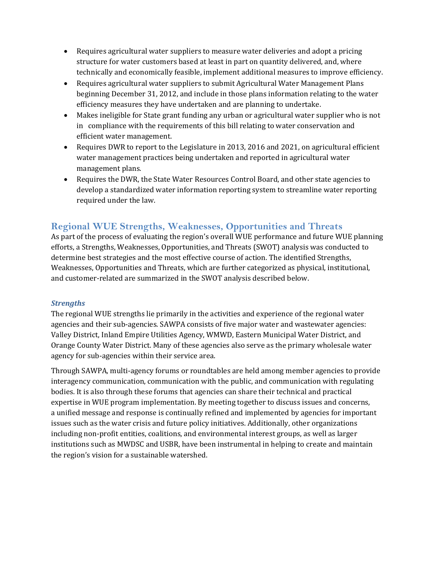- Requires agricultural water suppliers to measure water deliveries and adopt a pricing structure for water customers based at least in part on quantity delivered, and, where technically and economically feasible, implement additional measures to improve efficiency.
- Requires agricultural water suppliers to submit Agricultural Water Management Plans beginning December 31, 2012, and include in those plans information relating to the water efficiency measures they have undertaken and are planning to undertake.
- Makes ineligible for State grant funding any urban or agricultural water supplier who is not in compliance with the requirements of this bill relating to water conservation and efficient water management.
- Requires DWR to report to the Legislature in 2013, 2016 and 2021, on agricultural efficient water management practices being undertaken and reported in agricultural water management plans.
- Requires the DWR, the State Water Resources Control Board, and other state agencies to develop a standardized water information reporting system to streamline water reporting required under the law.

## **Regional WUE Strengths, Weaknesses, Opportunities and Threats**

As part of the process of evaluating the region's overall WUE performance and future WUE planning efforts, a Strengths, Weaknesses, Opportunities, and Threats (SWOT) analysis was conducted to determine best strategies and the most effective course of action. The identified Strengths, Weaknesses, Opportunities and Threats, which are further categorized as physical, institutional, and customer‐related are summarized in the SWOT analysis described below.

#### *Strengths*

The regional WUE strengths lie primarily in the activities and experience of the regional water agencies and their sub-agencies. SAWPA consists of five major water and wastewater agencies: Valley District, Inland Empire Utilities Agency, WMWD, Eastern Municipal Water District, and Orange County Water District. Many of these agencies also serve as the primary wholesale water agency for sub‐agencies within their service area.

Through SAWPA, multi‐agency forums or roundtables are held among member agencies to provide interagency communication, communication with the public, and communication with regulating bodies. It is also through these forums that agencies can share their technical and practical expertise in WUE program implementation. By meeting together to discuss issues and concerns, a unified message and response is continually refined and implemented by agencies for important issues such as the water crisis and future policy initiatives. Additionally, other organizations including non‐profit entities, coalitions, and environmental interest groups, as well as larger institutions such as MWDSC and USBR, have been instrumental in helping to create and maintain the region's vision for a sustainable watershed.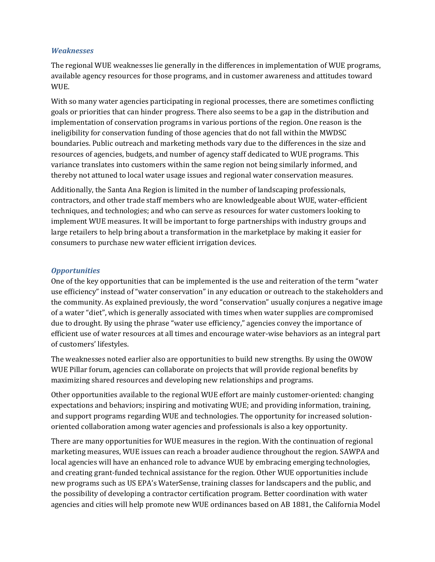#### *Weaknesses*

The regional WUE weaknesses lie generally in the differences in implementation of WUE programs, available agency resources for those programs, and in customer awareness and attitudes toward WUE.

With so many water agencies participating in regional processes, there are sometimes conflicting goals or priorities that can hinder progress. There also seems to be a gap in the distribution and implementation of conservation programs in various portions of the region. One reason is the ineligibility for conservation funding of those agencies that do not fall within the MWDSC boundaries. Public outreach and marketing methods vary due to the differences in the size and resources of agencies, budgets, and number of agency staff dedicated to WUE programs. This variance translates into customers within the same region not being similarly informed, and thereby not attuned to local water usage issues and regional water conservation measures.

Additionally, the Santa Ana Region is limited in the number of landscaping professionals, contractors, and other trade staff members who are knowledgeable about WUE, water‐efficient techniques, and technologies; and who can serve as resources for water customers looking to implement WUE measures. It will be important to forge partnerships with industry groups and large retailers to help bring about a transformation in the marketplace by making it easier for consumers to purchase new water efficient irrigation devices.

#### *Opportunities*

One of the key opportunities that can be implemented is the use and reiteration of the term "water use efficiency" instead of "water conservation" in any education or outreach to the stakeholders and the community. As explained previously, the word "conservation" usually conjures a negative image of a water "diet", which is generally associated with times when water supplies are compromised due to drought. By using the phrase "water use efficiency," agencies convey the importance of efficient use of water resources at all times and encourage water‐wise behaviors as an integral part of customers' lifestyles.

The weaknesses noted earlier also are opportunities to build new strengths. By using the OWOW WUE Pillar forum, agencies can collaborate on projects that will provide regional benefits by maximizing shared resources and developing new relationships and programs.

Other opportunities available to the regional WUE effort are mainly customer‐oriented: changing expectations and behaviors; inspiring and motivating WUE; and providing information, training, and support programs regarding WUE and technologies. The opportunity for increased solution‐ oriented collaboration among water agencies and professionals is also a key opportunity.

There are many opportunities for WUE measures in the region. With the continuation of regional marketing measures, WUE issues can reach a broader audience throughout the region. SAWPA and local agencies will have an enhanced role to advance WUE by embracing emerging technologies, and creating grant-funded technical assistance for the region. Other WUE opportunities include new programs such as US EPA's WaterSense, training classes for landscapers and the public, and the possibility of developing a contractor certification program. Better coordination with water agencies and cities will help promote new WUE ordinances based on AB 1881, the California Model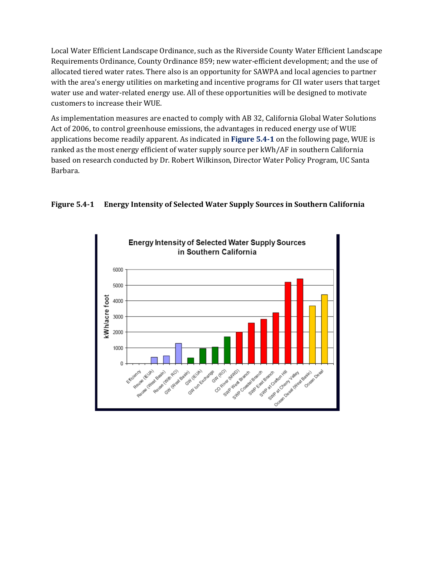Local Water Efficient Landscape Ordinance, such as the Riverside County Water Efficient Landscape Requirements Ordinance, County Ordinance 859; new water‐efficient development; and the use of allocated tiered water rates. There also is an opportunity for SAWPA and local agencies to partner with the area's energy utilities on marketing and incentive programs for CII water users that target water use and water-related energy use. All of these opportunities will be designed to motivate customers to increase their WUE.

As implementation measures are enacted to comply with AB 32, California Global Water Solutions Act of 2006, to control greenhouse emissions, the advantages in reduced energy use of WUE applications become readily apparent. As indicated in **Figure 5.41** on the following page, WUE is ranked as the most energy efficient of water supply source per kWh/AF in southern California based on research conducted by Dr. Robert Wilkinson, Director Water Policy Program, UC Santa Barbara.



**Figure 5.41 Energy Intensity of Selected Water Supply Sources in Southern California**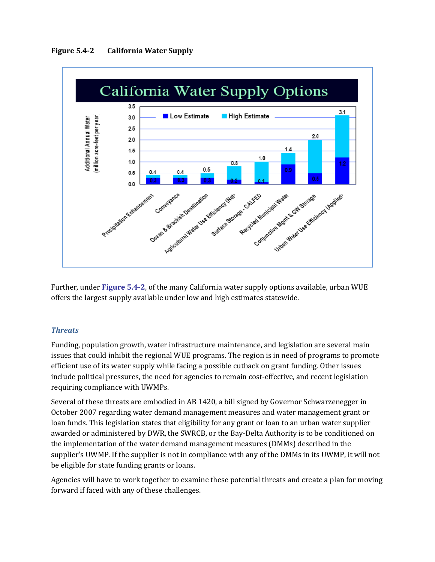

Further, under **Figure 5.42**, of the many California water supply options available, urban WUE offers the largest supply available under low and high estimates statewide.

#### *Threats*

Funding, population growth, water infrastructure maintenance, and legislation are several main issues that could inhibit the regional WUE programs. The region is in need of programs to promote efficient use of its water supply while facing a possible cutback on grant funding. Other issues include political pressures, the need for agencies to remain cost-effective, and recent legislation requiring compliance with UWMPs.

Several of these threats are embodied in AB 1420, a bill signed by Governor Schwarzenegger in October 2007 regarding water demand management measures and water management grant or loan funds. This legislation states that eligibility for any grant or loan to an urban water supplier awarded or administered by DWR, the SWRCB, or the Bay‐Delta Authority is to be conditioned on the implementation of the water demand management measures (DMMs) described in the supplier's UWMP. If the supplier is not in compliance with any of the DMMs in its UWMP, it will not be eligible for state funding grants or loans.

Agencies will have to work together to examine these potential threats and create a plan for moving forward if faced with any of these challenges.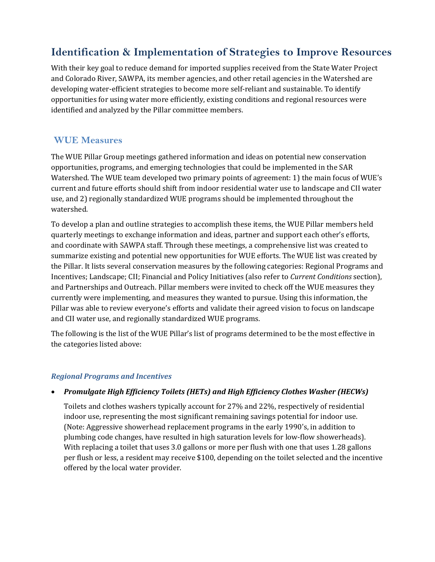# **Identification & Implementation of Strategies to Improve Resources**

With their key goal to reduce demand for imported supplies received from the State Water Project and Colorado River, SAWPA, its member agencies, and other retail agencies in the Watershed are developing water‐efficient strategies to become more self‐reliant and sustainable. To identify opportunities for using water more efficiently, existing conditions and regional resources were identified and analyzed by the Pillar committee members.

## **WUE Measures**

The WUE Pillar Group meetings gathered information and ideas on potential new conservation opportunities, programs, and emerging technologies that could be implemented in the SAR Watershed. The WUE team developed two primary points of agreement: 1) the main focus of WUE's current and future efforts should shift from indoor residential water use to landscape and CII water use, and 2) regionally standardized WUE programs should be implemented throughout the watershed.

To develop a plan and outline strategies to accomplish these items, the WUE Pillar members held quarterly meetings to exchange information and ideas, partner and support each other's efforts, and coordinate with SAWPA staff. Through these meetings, a comprehensive list was created to summarize existing and potential new opportunities for WUE efforts. The WUE list was created by the Pillar. It lists several conservation measures by the following categories: Regional Programs and Incentives; Landscape; CII; Financial and Policy Initiatives (also refer to *Current Conditions* section), and Partnerships and Outreach. Pillar members were invited to check off the WUE measures they currently were implementing, and measures they wanted to pursue. Using this information, the Pillar was able to review everyone's efforts and validate their agreed vision to focus on landscape and CII water use, and regionally standardized WUE programs.

The following is the list of the WUE Pillar's list of programs determined to be the most effective in the categories listed above:

#### *Regional Programs and Incentives*

#### *Promulgate High Efficiency Toilets (HETs) and High Efficiency Clothes Washer (HECWs)*

Toilets and clothes washers typically account for 27% and 22%, respectively of residential indoor use, representing the most significant remaining savings potential for indoor use. (Note: Aggressive showerhead replacement programs in the early 1990's, in addition to plumbing code changes, have resulted in high saturation levels for low‐flow showerheads). With replacing a toilet that uses 3.0 gallons or more per flush with one that uses 1.28 gallons per flush or less, a resident may receive \$100, depending on the toilet selected and the incentive offered by the local water provider.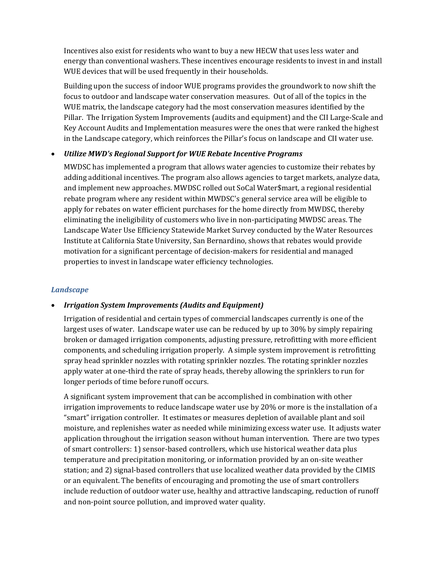Incentives also exist for residents who want to buy a new HECW that uses less water and energy than conventional washers. These incentives encourage residents to invest in and install WUE devices that will be used frequently in their households.

Building upon the success of indoor WUE programs provides the groundwork to now shift the focus to outdoor and landscape water conservation measures. Out of all of the topics in the WUE matrix, the landscape category had the most conservation measures identified by the Pillar. The Irrigation System Improvements (audits and equipment) and the CII Large‐Scale and Key Account Audits and Implementation measures were the ones that were ranked the highest in the Landscape category, which reinforces the Pillar's focus on landscape and CII water use.

#### *Utilize MWD's Regional Support for WUE Rebate Incentive Programs*

MWDSC has implemented a program that allows water agencies to customize their rebates by adding additional incentives. The program also allows agencies to target markets, analyze data, and implement new approaches. MWDSC rolled out SoCal Water\$mart, a regional residential rebate program where any resident within MWDSC's general service area will be eligible to apply for rebates on water efficient purchases for the home directly from MWDSC, thereby eliminating the ineligibility of customers who live in non‐participating MWDSC areas. The Landscape Water Use Efficiency Statewide Market Survey conducted by the Water Resources Institute at California State University, San Bernardino, shows that rebates would provide motivation for a significant percentage of decision‐makers for residential and managed properties to invest in landscape water efficiency technologies.

#### *Landscape*

#### *Irrigation System Improvements (Audits and Equipment)*

Irrigation of residential and certain types of commercial landscapes currently is one of the largest uses of water. Landscape water use can be reduced by up to 30% by simply repairing broken or damaged irrigation components, adjusting pressure, retrofitting with more efficient components, and scheduling irrigation properly. A simple system improvement is retrofitting spray head sprinkler nozzles with rotating sprinkler nozzles. The rotating sprinkler nozzles apply water at one‐third the rate of spray heads, thereby allowing the sprinklers to run for longer periods of time before runoff occurs.

A significant system improvement that can be accomplished in combination with other irrigation improvements to reduce landscape water use by 20% or more is the installation of a "smart" irrigation controller. It estimates or measures depletion of available plant and soil moisture, and replenishes water as needed while minimizing excess water use. It adjusts water application throughout the irrigation season without human intervention. There are two types of smart controllers: 1) sensor‐based controllers, which use historical weather data plus temperature and precipitation monitoring, or information provided by an on‐site weather station; and 2) signal-based controllers that use localized weather data provided by the CIMIS or an equivalent. The benefits of encouraging and promoting the use of smart controllers include reduction of outdoor water use, healthy and attractive landscaping, reduction of runoff and non‐point source pollution, and improved water quality.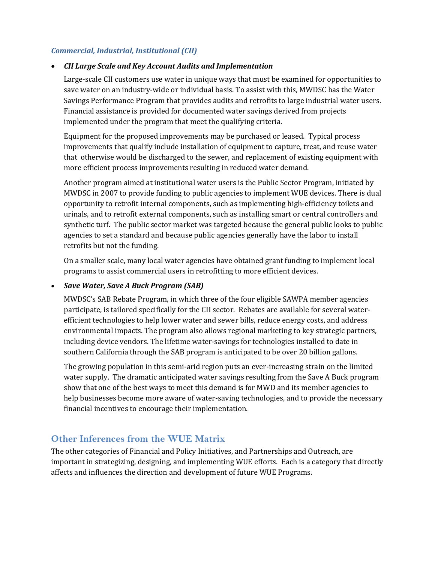#### *Commercial, Industrial, Institutional (CII)*

#### *CII Large Scale and Key Account Audits and Implementation*

Large-scale CII customers use water in unique ways that must be examined for opportunities to save water on an industry-wide or individual basis. To assist with this, MWDSC has the Water Savings Performance Program that provides audits and retrofits to large industrial water users. Financial assistance is provided for documented water savings derived from projects implemented under the program that meet the qualifying criteria.

Equipment for the proposed improvements may be purchased or leased. Typical process improvements that qualify include installation of equipment to capture, treat, and reuse water that otherwise would be discharged to the sewer, and replacement of existing equipment with more efficient process improvements resulting in reduced water demand.

Another program aimed at institutional water users is the Public Sector Program, initiated by MWDSC in 2007 to provide funding to public agencies to implement WUE devices. There is dual opportunity to retrofit internal components, such as implementing high‐efficiency toilets and urinals, and to retrofit external components, such as installing smart or central controllers and synthetic turf. The public sector market was targeted because the general public looks to public agencies to set a standard and because public agencies generally have the labor to install retrofits but not the funding.

On a smaller scale, many local water agencies have obtained grant funding to implement local programs to assist commercial users in retrofitting to more efficient devices.

#### *Save Water, Save A Buck Program (SAB)*

MWDSC's SAB Rebate Program, in which three of the four eligible SAWPA member agencies participate, is tailored specifically for the CII sector. Rebates are available for several waterefficient technologies to help lower water and sewer bills, reduce energy costs, and address environmental impacts. The program also allows regional marketing to key strategic partners, including device vendors. The lifetime water‐savings for technologies installed to date in southern California through the SAB program is anticipated to be over 20 billion gallons.

The growing population in this semi-arid region puts an ever-increasing strain on the limited water supply. The dramatic anticipated water savings resulting from the Save A Buck program show that one of the best ways to meet this demand is for MWD and its member agencies to help businesses become more aware of water-saving technologies, and to provide the necessary financial incentives to encourage their implementation.

# **Other Inferences from the WUE Matrix**

The other categories of Financial and Policy Initiatives, and Partnerships and Outreach, are important in strategizing, designing, and implementing WUE efforts. Each is a category that directly affects and influences the direction and development of future WUE Programs.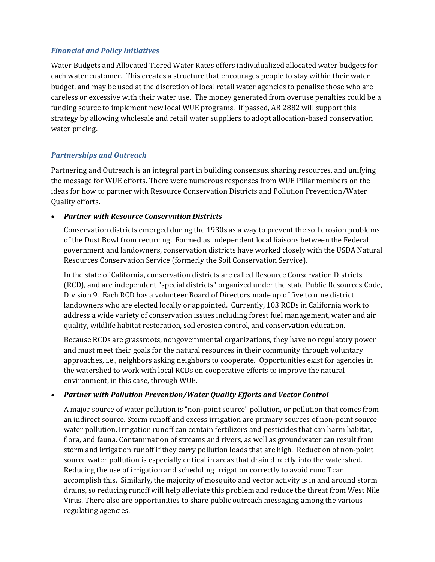#### *Financial and Policy Initiatives*

Water Budgets and Allocated Tiered Water Rates offers individualized allocated water budgets for each water customer. This creates a structure that encourages people to stay within their water budget, and may be used at the discretion of local retail water agencies to penalize those who are careless or excessive with their water use. The money generated from overuse penalties could be a funding source to implement new local WUE programs. If passed, AB 2882 will support this strategy by allowing wholesale and retail water suppliers to adopt allocation‐based conservation water pricing.

#### *Partnerships and Outreach*

Partnering and Outreach is an integral part in building consensus, sharing resources, and unifying the message for WUE efforts. There were numerous responses from WUE Pillar members on the ideas for how to partner with Resource Conservation Districts and Pollution Prevention/Water Quality efforts.

#### *Partner with Resource Conservation Districts*

Conservation districts emerged during the 1930s as a way to prevent the soil erosion problems of the Dust Bowl from recurring. Formed as independent local liaisons between the Federal government and landowners, conservation districts have worked closely with the USDA Natural Resources Conservation Service (formerly the Soil Conservation Service).

In the state of California, conservation districts are called Resource Conservation Districts (RCD), and are independent "special districts" organized under the state Public Resources Code, Division 9. Each RCD has a volunteer Board of Directors made up of five to nine district landowners who are elected locally or appointed. Currently, 103 RCDs in California work to address a wide variety of conservation issues including forest fuel management, water and air quality, wildlife habitat restoration, soil erosion control, and conservation education.

Because RCDs are grassroots, nongovernmental organizations, they have no regulatory power and must meet their goals for the natural resources in their community through voluntary approaches, i.e., neighbors asking neighbors to cooperate. Opportunities exist for agencies in the watershed to work with local RCDs on cooperative efforts to improve the natural environment, in this case, through WUE.

#### *Partner with Pollution Prevention/Water Quality Efforts and Vector Control*

A major source of water pollution is "non‐point source" pollution, or pollution that comes from an indirect source. Storm runoff and excess irrigation are primary sources of non‐point source water pollution. Irrigation runoff can contain fertilizers and pesticides that can harm habitat, flora, and fauna. Contamination of streams and rivers, as well as groundwater can result from storm and irrigation runoff if they carry pollution loads that are high. Reduction of non‐point source water pollution is especially critical in areas that drain directly into the watershed. Reducing the use of irrigation and scheduling irrigation correctly to avoid runoff can accomplish this. Similarly, the majority of mosquito and vector activity is in and around storm drains, so reducing runoff will help alleviate this problem and reduce the threat from West Nile Virus. There also are opportunities to share public outreach messaging among the various regulating agencies.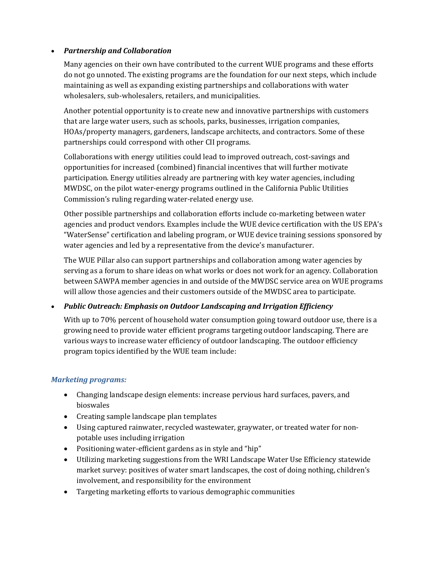#### *Partnership and Collaboration*

Many agencies on their own have contributed to the current WUE programs and these efforts do not go unnoted. The existing programs are the foundation for our next steps, which include maintaining as well as expanding existing partnerships and collaborations with water wholesalers, sub-wholesalers, retailers, and municipalities.

Another potential opportunity is to create new and innovative partnerships with customers that are large water users, such as schools, parks, businesses, irrigation companies, HOAs/property managers, gardeners, landscape architects, and contractors. Some of these partnerships could correspond with other CII programs.

Collaborations with energy utilities could lead to improved outreach, cost‐savings and opportunities for increased (combined) financial incentives that will further motivate participation. Energy utilities already are partnering with key water agencies, including MWDSC, on the pilot water‐energy programs outlined in the California Public Utilities Commission's ruling regarding water‐related energy use.

Other possible partnerships and collaboration efforts include co-marketing between water agencies and product vendors. Examples include the WUE device certification with the US EPA's "WaterSense" certification and labeling program, or WUE device training sessions sponsored by water agencies and led by a representative from the device's manufacturer.

The WUE Pillar also can support partnerships and collaboration among water agencies by serving as a forum to share ideas on what works or does not work for an agency. Collaboration between SAWPA member agencies in and outside of the MWDSC service area on WUE programs will allow those agencies and their customers outside of the MWDSC area to participate.

#### *Public Outreach: Emphasis on Outdoor Landscaping and Irrigation Efficiency*

With up to 70% percent of household water consumption going toward outdoor use, there is a growing need to provide water efficient programs targeting outdoor landscaping. There are various ways to increase water efficiency of outdoor landscaping. The outdoor efficiency program topics identified by the WUE team include:

#### *Marketing programs:*

- Changing landscape design elements: increase pervious hard surfaces, pavers, and bioswales
- Creating sample landscape plan templates
- Using captured rainwater, recycled wastewater, graywater, or treated water for non‐ potable uses including irrigation
- Positioning water-efficient gardens as in style and "hip"
- Utilizing marketing suggestions from the WRI Landscape Water Use Efficiency statewide market survey: positives of water smart landscapes, the cost of doing nothing, children's involvement, and responsibility for the environment
- Targeting marketing efforts to various demographic communities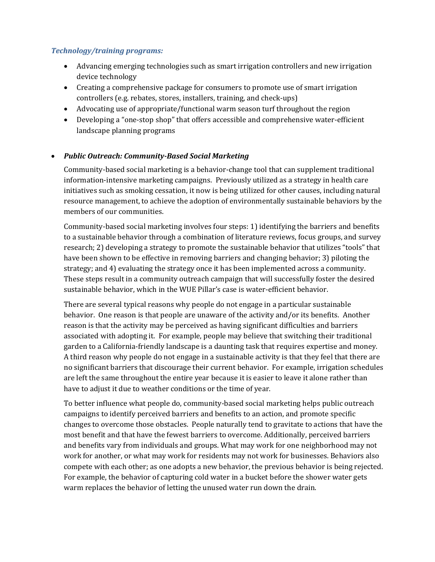#### *Technology/training programs:*

- Advancing emerging technologies such as smart irrigation controllers and new irrigation device technology
- Creating a comprehensive package for consumers to promote use of smart irrigation controllers (e.g. rebates, stores, installers, training, and check‐ups)
- Advocating use of appropriate/functional warm season turf throughout the region
- Developing a "one-stop shop" that offers accessible and comprehensive water-efficient landscape planning programs

#### *Public Outreach: CommunityBased Social Marketing*

Community‐based social marketing is a behavior‐change tool that can supplement traditional information‐intensive marketing campaigns. Previously utilized as a strategy in health care initiatives such as smoking cessation, it now is being utilized for other causes, including natural resource management, to achieve the adoption of environmentally sustainable behaviors by the members of our communities.

Community‐based social marketing involves four steps: 1) identifying the barriers and benefits to a sustainable behavior through a combination of literature reviews, focus groups, and survey research; 2) developing a strategy to promote the sustainable behavior that utilizes "tools" that have been shown to be effective in removing barriers and changing behavior; 3) piloting the strategy; and 4) evaluating the strategy once it has been implemented across a community. These steps result in a community outreach campaign that will successfully foster the desired sustainable behavior, which in the WUE Pillar's case is water‐efficient behavior.

There are several typical reasons why people do not engage in a particular sustainable behavior. One reason is that people are unaware of the activity and/or its benefits. Another reason is that the activity may be perceived as having significant difficulties and barriers associated with adopting it. For example, people may believe that switching their traditional garden to a California‐friendly landscape is a daunting task that requires expertise and money. A third reason why people do not engage in a sustainable activity is that they feel that there are no significant barriers that discourage their current behavior. For example, irrigation schedules are left the same throughout the entire year because it is easier to leave it alone rather than have to adjust it due to weather conditions or the time of year.

To better influence what people do, community‐based social marketing helps public outreach campaigns to identify perceived barriers and benefits to an action, and promote specific changes to overcome those obstacles. People naturally tend to gravitate to actions that have the most benefit and that have the fewest barriers to overcome. Additionally, perceived barriers and benefits vary from individuals and groups. What may work for one neighborhood may not work for another, or what may work for residents may not work for businesses. Behaviors also compete with each other; as one adopts a new behavior, the previous behavior is being rejected. For example, the behavior of capturing cold water in a bucket before the shower water gets warm replaces the behavior of letting the unused water run down the drain.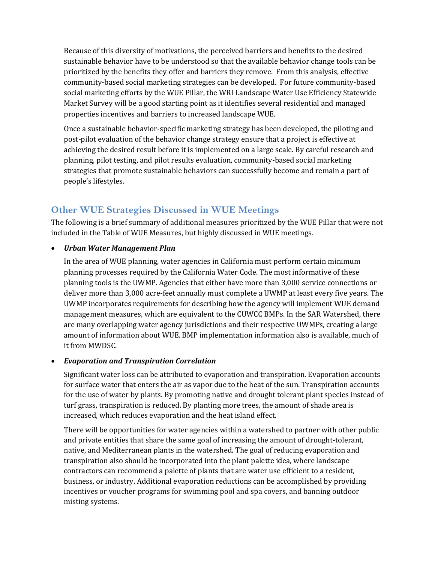Because of this diversity of motivations, the perceived barriers and benefits to the desired sustainable behavior have to be understood so that the available behavior change tools can be prioritized by the benefits they offer and barriers they remove. From this analysis, effective community‐based social marketing strategies can be developed. For future community‐based social marketing efforts by the WUE Pillar, the WRI Landscape Water Use Efficiency Statewide Market Survey will be a good starting point as it identifies several residential and managed properties incentives and barriers to increased landscape WUE.

Once a sustainable behavior‐specific marketing strategy has been developed, the piloting and post-pilot evaluation of the behavior change strategy ensure that a project is effective at achieving the desired result before it is implemented on a large scale. By careful research and planning, pilot testing, and pilot results evaluation, community‐based social marketing strategies that promote sustainable behaviors can successfully become and remain a part of people's lifestyles.

## **Other WUE Strategies Discussed in WUE Meetings**

The following is a brief summary of additional measures prioritized by the WUE Pillar that were not included in the Table of WUE Measures, but highly discussed in WUE meetings.

#### *Urban Water Management Plan*

In the area of WUE planning, water agencies in California must perform certain minimum planning processes required by the California Water Code. The most informative of these planning tools is the UWMP. Agencies that either have more than 3,000 service connections or deliver more than 3,000 acre‐feet annually must complete a UWMP at least every five years. The UWMP incorporates requirements for describing how the agency will implement WUE demand management measures, which are equivalent to the CUWCC BMPs. In the SAR Watershed, there are many overlapping water agency jurisdictions and their respective UWMPs, creating a large amount of information about WUE. BMP implementation information also is available, much of it from MWDSC.

#### *Evaporation and Transpiration Correlation*

Significant water loss can be attributed to evaporation and transpiration. Evaporation accounts for surface water that enters the air as vapor due to the heat of the sun. Transpiration accounts for the use of water by plants. By promoting native and drought tolerant plant species instead of turf grass, transpiration is reduced. By planting more trees, the amount of shade area is increased, which reduces evaporation and the heat island effect.

There will be opportunities for water agencies within a watershed to partner with other public and private entities that share the same goal of increasing the amount of drought-tolerant, native, and Mediterranean plants in the watershed. The goal of reducing evaporation and transpiration also should be incorporated into the plant palette idea, where landscape contractors can recommend a palette of plants that are water use efficient to a resident, business, or industry. Additional evaporation reductions can be accomplished by providing incentives or voucher programs for swimming pool and spa covers, and banning outdoor misting systems.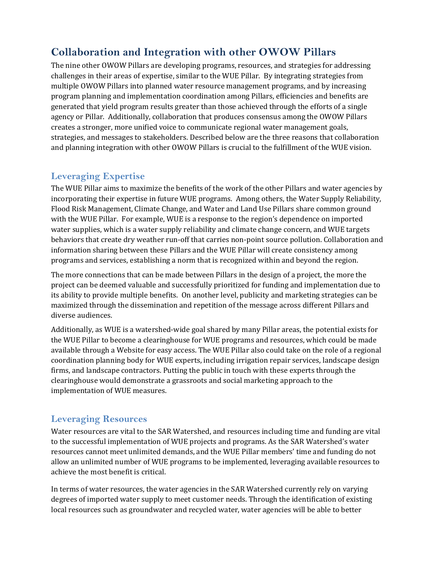# **Collaboration and Integration with other OWOW Pillars**

The nine other OWOW Pillars are developing programs, resources, and strategies for addressing challenges in their areas of expertise, similar to the WUE Pillar. By integrating strategies from multiple OWOW Pillars into planned water resource management programs, and by increasing program planning and implementation coordination among Pillars, efficiencies and benefits are generated that yield program results greater than those achieved through the efforts of a single agency or Pillar. Additionally, collaboration that produces consensus among the OWOW Pillars creates a stronger, more unified voice to communicate regional water management goals, strategies, and messages to stakeholders. Described below are the three reasons that collaboration and planning integration with other OWOW Pillars is crucial to the fulfillment of the WUE vision.

## **Leveraging Expertise**

The WUE Pillar aims to maximize the benefits of the work of the other Pillars and water agencies by incorporating their expertise in future WUE programs. Among others, the Water Supply Reliability, Flood Risk Management, Climate Change, and Water and Land Use Pillars share common ground with the WUE Pillar. For example, WUE is a response to the region's dependence on imported water supplies, which is a water supply reliability and climate change concern, and WUE targets behaviors that create dry weather run-off that carries non-point source pollution. Collaboration and information sharing between these Pillars and the WUE Pillar will create consistency among programs and services, establishing a norm that is recognized within and beyond the region.

The more connections that can be made between Pillars in the design of a project, the more the project can be deemed valuable and successfully prioritized for funding and implementation due to its ability to provide multiple benefits. On another level, publicity and marketing strategies can be maximized through the dissemination and repetition of the message across different Pillars and diverse audiences.

Additionally, as WUE is a watershed‐wide goal shared by many Pillar areas, the potential exists for the WUE Pillar to become a clearinghouse for WUE programs and resources, which could be made available through a Website for easy access. The WUE Pillar also could take on the role of a regional coordination planning body for WUE experts, including irrigation repair services, landscape design firms, and landscape contractors. Putting the public in touch with these experts through the clearinghouse would demonstrate a grassroots and social marketing approach to the implementation of WUE measures.

#### **Leveraging Resources**

Water resources are vital to the SAR Watershed, and resources including time and funding are vital to the successful implementation of WUE projects and programs. As the SAR Watershed's water resources cannot meet unlimited demands, and the WUE Pillar members' time and funding do not allow an unlimited number of WUE programs to be implemented, leveraging available resources to achieve the most benefit is critical.

In terms of water resources, the water agencies in the SAR Watershed currently rely on varying degrees of imported water supply to meet customer needs. Through the identification of existing local resources such as groundwater and recycled water, water agencies will be able to better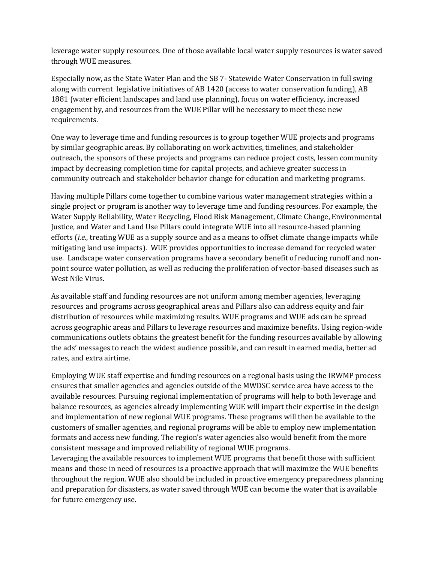leverage water supply resources. One of those available local water supply resources is water saved through WUE measures.

Especially now, as the State Water Plan and the SB 7‐ Statewide Water Conservation in full swing along with current legislative initiatives of AB 1420 (access to water conservation funding), AB 1881 (water efficient landscapes and land use planning), focus on water efficiency, increased engagement by, and resources from the WUE Pillar will be necessary to meet these new requirements.

One way to leverage time and funding resources is to group together WUE projects and programs by similar geographic areas. By collaborating on work activities, timelines, and stakeholder outreach, the sponsors of these projects and programs can reduce project costs, lessen community impact by decreasing completion time for capital projects, and achieve greater success in community outreach and stakeholder behavior change for education and marketing programs.

Having multiple Pillars come together to combine various water management strategies within a single project or program is another way to leverage time and funding resources. For example, the Water Supply Reliability, Water Recycling, Flood Risk Management, Climate Change, Environmental Justice, and Water and Land Use Pillars could integrate WUE into all resource‐based planning efforts (*i.e.*, treating WUE as a supply source and as a means to offset climate change impacts while mitigating land use impacts). WUE provides opportunities to increase demand for recycled water use. Landscape water conservation programs have a secondary benefit of reducing runoff and non‐ point source water pollution, as well as reducing the proliferation of vector-based diseases such as West Nile Virus.

As available staff and funding resources are not uniform among member agencies, leveraging resources and programs across geographical areas and Pillars also can address equity and fair distribution of resources while maximizing results. WUE programs and WUE ads can be spread across geographic areas and Pillars to leverage resources and maximize benefits. Using region‐wide communications outlets obtains the greatest benefit for the funding resources available by allowing the ads' messages to reach the widest audience possible, and can result in earned media, better ad rates, and extra airtime.

Employing WUE staff expertise and funding resources on a regional basis using the IRWMP process ensures that smaller agencies and agencies outside of the MWDSC service area have access to the available resources. Pursuing regional implementation of programs will help to both leverage and balance resources, as agencies already implementing WUE will impart their expertise in the design and implementation of new regional WUE programs. These programs will then be available to the customers of smaller agencies, and regional programs will be able to employ new implementation formats and access new funding. The region's water agencies also would benefit from the more consistent message and improved reliability of regional WUE programs.

Leveraging the available resources to implement WUE programs that benefit those with sufficient means and those in need of resources is a proactive approach that will maximize the WUE benefits throughout the region. WUE also should be included in proactive emergency preparedness planning and preparation for disasters, as water saved through WUE can become the water that is available for future emergency use.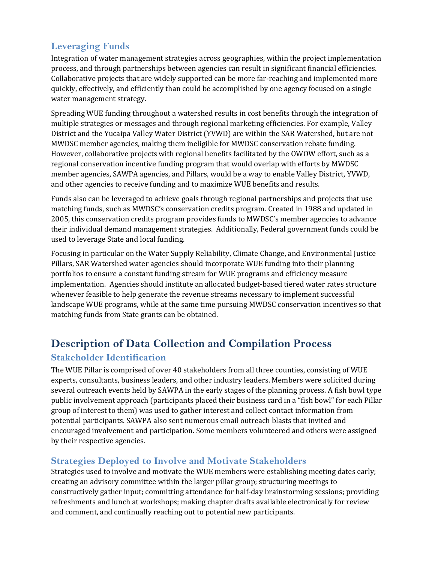# **Leveraging Funds**

Integration of water management strategies across geographies, within the project implementation process, and through partnerships between agencies can result in significant financial efficiencies. Collaborative projects that are widely supported can be more far‐reaching and implemented more quickly, effectively, and efficiently than could be accomplished by one agency focused on a single water management strategy.

Spreading WUE funding throughout a watershed results in cost benefits through the integration of multiple strategies or messages and through regional marketing efficiencies. For example, Valley District and the Yucaipa Valley Water District (YVWD) are within the SAR Watershed, but are not MWDSC member agencies, making them ineligible for MWDSC conservation rebate funding. However, collaborative projects with regional benefits facilitated by the OWOW effort, such as a regional conservation incentive funding program that would overlap with efforts by MWDSC member agencies, SAWPA agencies, and Pillars, would be a way to enable Valley District, YVWD, and other agencies to receive funding and to maximize WUE benefits and results.

Funds also can be leveraged to achieve goals through regional partnerships and projects that use matching funds, such as MWDSC's conservation credits program. Created in 1988 and updated in 2005, this conservation credits program provides funds to MWDSC's member agencies to advance their individual demand management strategies. Additionally, Federal government funds could be used to leverage State and local funding.

Focusing in particular on the Water Supply Reliability, Climate Change, and Environmental Justice Pillars, SAR Watershed water agencies should incorporate WUE funding into their planning portfolios to ensure a constant funding stream for WUE programs and efficiency measure implementation. Agencies should institute an allocated budget‐based tiered water rates structure whenever feasible to help generate the revenue streams necessary to implement successful landscape WUE programs, while at the same time pursuing MWDSC conservation incentives so that matching funds from State grants can be obtained.

# **Description of Data Collection and Compilation Process**

# **Stakeholder Identification**

The WUE Pillar is comprised of over 40 stakeholders from all three counties, consisting of WUE experts, consultants, business leaders, and other industry leaders. Members were solicited during several outreach events held by SAWPA in the early stages of the planning process. A fish bowl type public involvement approach (participants placed their business card in a "fish bowl" for each Pillar group of interest to them) was used to gather interest and collect contact information from potential participants. SAWPA also sent numerous email outreach blasts that invited and encouraged involvement and participation. Some members volunteered and others were assigned by their respective agencies.

# **Strategies Deployed to Involve and Motivate Stakeholders**

Strategies used to involve and motivate the WUE members were establishing meeting dates early; creating an advisory committee within the larger pillar group; structuring meetings to constructively gather input; committing attendance for half‐day brainstorming sessions; providing refreshments and lunch at workshops; making chapter drafts available electronically for review and comment, and continually reaching out to potential new participants.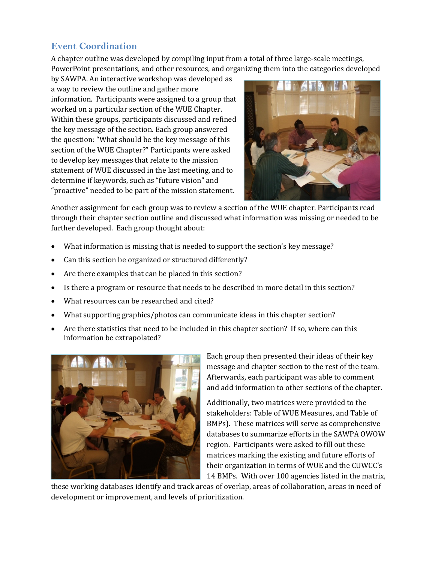## **Event Coordination**

A chapter outline was developed by compiling input from a total of three large-scale meetings, PowerPoint presentations, and other resources, and organizing them into the categories developed

by SAWPA. An interactive workshop was developed as a way to review the outline and gather more information. Participants were assigned to a group that worked on a particular section of the WUE Chapter. Within these groups, participants discussed and refined the key message of the section. Each group answered the question: "What should be the key message of this section of the WUE Chapter?" Participants were asked to develop key messages that relate to the mission statement of WUE discussed in the last meeting, and to determine if keywords, such as "future vision" and "proactive" needed to be part of the mission statement.



Another assignment for each group was to review a section of the WUE chapter. Participants read through their chapter section outline and discussed what information was missing or needed to be further developed. Each group thought about:

- What information is missing that is needed to support the section's key message?
- Can this section be organized or structured differently?
- Are there examples that can be placed in this section?
- Is there a program or resource that needs to be described in more detail in this section?
- What resources can be researched and cited?
- What supporting graphics/photos can communicate ideas in this chapter section?
- Are there statistics that need to be included in this chapter section? If so, where can this information be extrapolated?



Each group then presented their ideas of their key message and chapter section to the rest of the team. Afterwards, each participant was able to comment and add information to other sections of the chapter.

Additionally, two matrices were provided to the stakeholders: Table of WUE Measures, and Table of BMPs). These matrices will serve as comprehensive databases to summarize efforts in the SAWPA OWOW region. Participants were asked to fill out these matrices marking the existing and future efforts of their organization in terms of WUE and the CUWCC's 14 BMPs. With over 100 agencies listed in the matrix,

these working databases identify and track areas of overlap, areas of collaboration, areas in need of development or improvement, and levels of prioritization.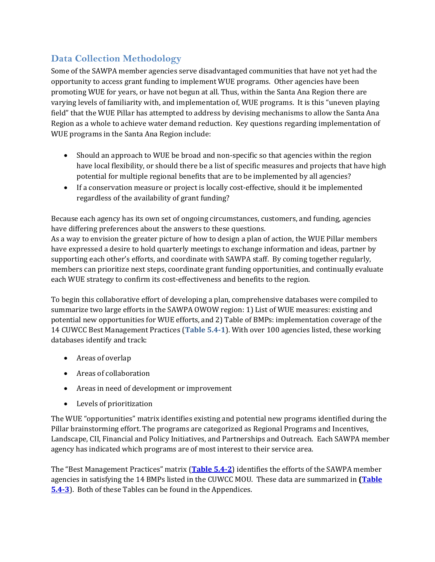# **Data Collection Methodology**

Some of the SAWPA member agencies serve disadvantaged communities that have not yet had the opportunity to access grant funding to implement WUE programs. Other agencies have been promoting WUE for years, or have not begun at all. Thus, within the Santa Ana Region there are varying levels of familiarity with, and implementation of, WUE programs. It is this "uneven playing field" that the WUE Pillar has attempted to address by devising mechanisms to allow the Santa Ana Region as a whole to achieve water demand reduction. Key questions regarding implementation of WUE programs in the Santa Ana Region include:

- Should an approach to WUE be broad and non-specific so that agencies within the region have local flexibility, or should there be a list of specific measures and projects that have high potential for multiple regional benefits that are to be implemented by all agencies?
- If a conservation measure or project is locally cost-effective, should it be implemented regardless of the availability of grant funding?

Because each agency has its own set of ongoing circumstances, customers, and funding, agencies have differing preferences about the answers to these questions.

As a way to envision the greater picture of how to design a plan of action, the WUE Pillar members have expressed a desire to hold quarterly meetings to exchange information and ideas, partner by supporting each other's efforts, and coordinate with SAWPA staff. By coming together regularly, members can prioritize next steps, coordinate grant funding opportunities, and continually evaluate each WUE strategy to confirm its cost-effectiveness and benefits to the region.

To begin this collaborative effort of developing a plan, comprehensive databases were compiled to summarize two large efforts in the SAWPA OWOW region: 1) List of WUE measures: existing and potential new opportunities for WUE efforts, and 2) Table of BMPs: implementation coverage of the 14 CUWCC Best Management Practices (**Table 5.41**). With over 100 agencies listed, these working databases identify and track:

- Areas of overlap
- Areas of collaboration
- Areas in need of development or improvement
- Levels of prioritization

The WUE "opportunities" matrix identifies existing and potential new programs identified during the Pillar brainstorming effort. The programs are categorized as Regional Programs and Incentives, Landscape, CII, Financial and Policy Initiatives, and Partnerships and Outreach. Each SAWPA member agency has indicated which programs are of most interest to their service area.

The "Best Management Practices" matrix (**Table 5.42**) identifies the efforts of the SAWPA member agencies in satisfying the 14 BMPs listed in the CUWCC MOU. These data are summarized in **(Table 5.43**). Both of these Tables can be found in the Appendices.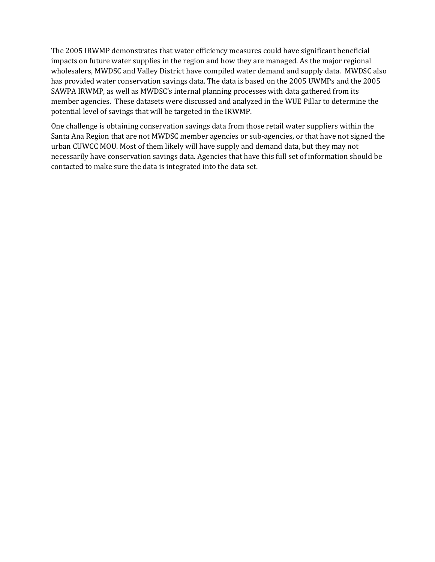The 2005 IRWMP demonstrates that water efficiency measures could have significant beneficial impacts on future water supplies in the region and how they are managed. As the major regional wholesalers, MWDSC and Valley District have compiled water demand and supply data. MWDSC also has provided water conservation savings data. The data is based on the 2005 UWMPs and the 2005 SAWPA IRWMP, as well as MWDSC's internal planning processes with data gathered from its member agencies. These datasets were discussed and analyzed in the WUE Pillar to determine the potential level of savings that will be targeted in the IRWMP.

One challenge is obtaining conservation savings data from those retail water suppliers within the Santa Ana Region that are not MWDSC member agencies or sub‐agencies, or that have not signed the urban CUWCC MOU. Most of them likely will have supply and demand data, but they may not necessarily have conservation savings data. Agencies that have this full set of information should be contacted to make sure the data is integrated into the data set.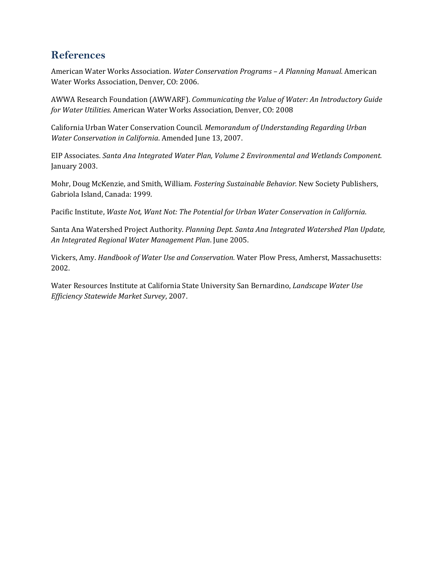# **References**

American Water Works Association. *Water Conservation Programs – A Planning Manual.* American Water Works Association, Denver, CO: 2006.

AWWA Research Foundation (AWWARF). *Communicating the Value of Water: An Introductory Guide for Water Utilities.* American Water Works Association, Denver, CO: 2008

California Urban Water Conservation Council. *Memorandum of Understanding Regarding Urban Water Conservation in California*. Amended June 13, 2007.

EIP Associates. *Santa Ana Integrated Water Plan, Volume 2 Environmental and Wetlands Component.* January 2003.

Mohr, Doug McKenzie, and Smith, William. *Fostering Sustainable Behavior.* New Society Publishers, Gabriola Island, Canada: 1999.

Pacific Institute, *Waste Not, Want Not: The Potential for Urban Water Conservation in California*.

Santa Ana Watershed Project Authority. *Planning Dept. Santa Ana Integrated Watershed Plan Update, An Integrated Regional Water Management Plan*. June 2005.

Vickers, Amy. *Handbook of Water Use and Conservation.* Water Plow Press, Amherst, Massachusetts: 2002.

Water Resources Institute at California State University San Bernardino, *Landscape Water Use Efficiency Statewide Market Survey*, 2007.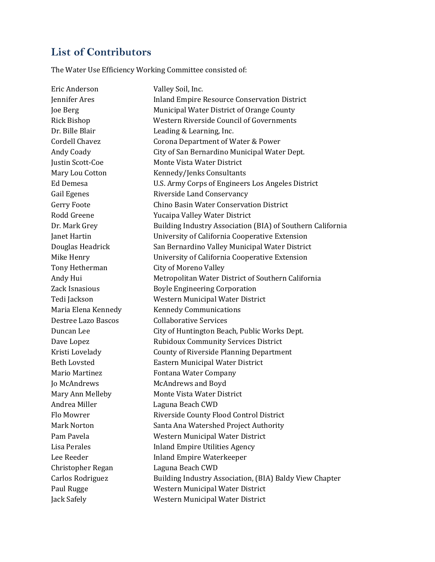# **List of Contributors**

The Water Use Efficiency Working Committee consisted of:

Eric Anderson **Valley Soil**, Inc. Jennifer Ares Inland Empire Resource Conservation District Joe Berg Municipal Water District of Orange County Rick Bishop **Western Riverside Council of Governments** Dr. Bille Blair **Leading & Learning**, Inc. Cordell Chavez Corona Department of Water & Power Andy Coady **City of San Bernardino Municipal Water Dept.** Justin Scott‐Coe Monte Vista Water District Mary Lou Cotton **Kennedy/Jenks Consultants** Ed Demesa U.S. Army Corps of Engineers Los Angeles District Gail Egenes **Branch** Riverside Land Conservancy Gerry Foote **Chino Basin Water Conservation District** Rodd Greene **The Contract Contract Property** Yucaipa Valley Water District Dr. Mark Grey **Building Industry Association (BIA) of Southern California** Janet Hartin University of California Cooperative Extension Douglas Headrick San Bernardino Valley Municipal Water District Mike Henry *Mike Henry University of California Cooperative Extension* Tony Hetherman 

City of Moreno Valley Andy Hui **Metropolitan Water District of Southern California** Zack Isnasious **Boyle Engineering Corporation** Tedi Jackson **Western Municipal Water District** Maria Elena Kennedy Kennedy Communications Destree Lazo Bascos Collaborative Services Duncan Lee City of Huntington Beach, Public Works Dept. Dave Lopez Rubidoux Community Services District Kristi Lovelady County of Riverside Planning Department Beth Lovsted **Eastern Municipal Water District** Mario Martinez *Fontana Water Company* Jo McAndrews McAndrews and Boyd Mary Ann Melleby **Monte Vista Water District** Andrea Miller **Laguna Beach CWD** Flo Mowrer **Riverside County Flood Control District** Mark Norton Santa Ana Watershed Project Authority Pam Pavela **Municipal Water District** Lisa Perales Inland Empire Utilities Agency Lee Reeder Inland Empire Waterkeeper Christopher Regan Laguna Beach CWD Carlos Rodriguez Building Industry Association, (BIA) Baldy View Chapter Paul Rugge Western Municipal Water District Jack Safely **Western Municipal Water District**